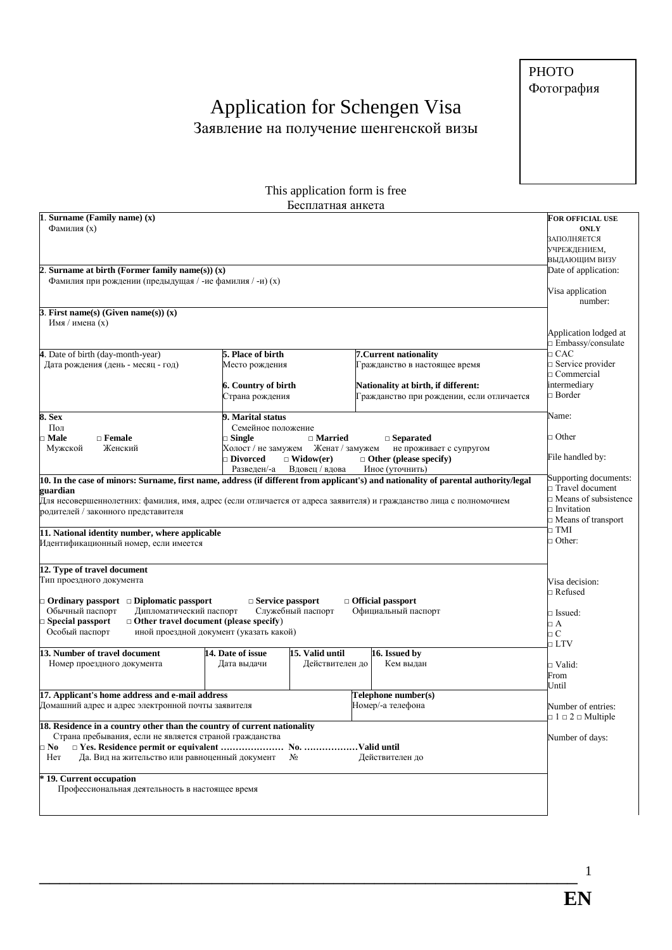**PHOTO** Фотография

## Application for Schengen Visa<br>Заявление на получение шенгенской визы

| This application form is free                                                                                                                                                                                                                                                                                                                                                                           |                                                                                                                                                                                            |                                                                                                                                             |                                                                                             |  |  |  |
|---------------------------------------------------------------------------------------------------------------------------------------------------------------------------------------------------------------------------------------------------------------------------------------------------------------------------------------------------------------------------------------------------------|--------------------------------------------------------------------------------------------------------------------------------------------------------------------------------------------|---------------------------------------------------------------------------------------------------------------------------------------------|---------------------------------------------------------------------------------------------|--|--|--|
|                                                                                                                                                                                                                                                                                                                                                                                                         |                                                                                                                                                                                            | Бесплатная анкета                                                                                                                           |                                                                                             |  |  |  |
| 1. Surname (Family name) $(x)$<br>Фамилия (х)                                                                                                                                                                                                                                                                                                                                                           |                                                                                                                                                                                            |                                                                                                                                             | <b>FOR OFFICIAL USE</b><br><b>ONLY</b><br>ЗАПОЛНЯЕТСЯ<br>УЧРЕЖДЕНИЕМ,<br>ВЫДАЮЩИМ ВИЗУ      |  |  |  |
| Surname at birth (Former family name(s)) $(x)$<br>Фамилия при рождении (предыдущая / -ие фамилия / -и) (х)                                                                                                                                                                                                                                                                                              |                                                                                                                                                                                            |                                                                                                                                             | Date of application:<br>Visa application<br>number:                                         |  |  |  |
| 3. First name(s) (Given name(s)) $(x)$<br>Имя / имена (х)                                                                                                                                                                                                                                                                                                                                               |                                                                                                                                                                                            |                                                                                                                                             | Application lodged at<br>$\Box$ Embassy/consulate                                           |  |  |  |
| 4. Date of birth (day-month-year)<br>Дата рождения (день - месяц - год)                                                                                                                                                                                                                                                                                                                                 | 5. Place of birth<br>Место рождения<br>6. Country of birth<br>Страна рождения                                                                                                              | 7. Current nationality<br>Гражданство в настоящее время<br>Nationality at birth, if different:<br>Гражданство при рождении, если отличается | $\Box$ CAC<br>$\Box$ Service provider<br>$\Box$ Commercial<br>intermediary<br>$\Box$ Border |  |  |  |
| 8. Sex<br>Пол<br>⊤ Male<br>$\Box$ Female<br>Мужской<br>Женский                                                                                                                                                                                                                                                                                                                                          | 9. Marital status<br>Семейное положение<br>$\square$ Single<br>$\Box$ Married<br>Холост / не замужем<br>Женат / замужем<br>□ Divorced<br>$\Box$ Widow(er)<br>Разведен/-а<br>Вдовец / вдова | Name:<br>$\Box$ Other<br>File handled by:                                                                                                   |                                                                                             |  |  |  |
| 10. In the case of minors: Surname, first name, address (if different from applicant's) and nationality of parental authority/legal<br>guardian<br>Для несовершеннолетних: фамилия, имя, адрес (если отличается от адреса заявителя) и гражданство лица с полномочием<br>родителей / законного представителя<br>11. National identity number, where applicable<br>Идентификационный номер, если имеется | Supporting documents:<br>$\Box$ Travel document<br>$\Box$ Means of subsistence<br>$\Box$ Invitation<br>$\Box$ Means of transport<br>$\Box$ TMI<br>$\Box$ Other:                            |                                                                                                                                             |                                                                                             |  |  |  |
| 12. Type of travel document<br>Тип проездного документа<br>$\Box$ Ordinary passport $\Box$ Diplomatic passport<br>Дипломатический паспорт<br>Обычный паспорт<br>$\Box$ Other travel document (please specify)<br>□ Special passport<br>иной проездной документ (указать какой)<br>Особый паспорт                                                                                                        | Visa decision:<br>$\Box$ Refused<br>$\Box$ Issued:<br>$\Box$ A<br>оC                                                                                                                       |                                                                                                                                             |                                                                                             |  |  |  |
| 13. Number of travel document<br>Номер проездного документа                                                                                                                                                                                                                                                                                                                                             | 14. Date of issue<br>Дата выдачи                                                                                                                                                           | 15. Valid until<br>16. Issued by<br>Действителен до<br>Кем выдан                                                                            | $\Box$ LTV<br>□ Valid:<br>From<br>Until                                                     |  |  |  |
| 17. Applicant's home address and e-mail address<br>Домашний адрес и адрес электронной почты заявителя                                                                                                                                                                                                                                                                                                   |                                                                                                                                                                                            | Telephone number(s)<br>Номер/-а телефона                                                                                                    | Number of entries:<br>$\Box$ 1 $\Box$ 2 $\Box$ Multiple                                     |  |  |  |
| 18. Residence in a country other than the country of current nationality<br>Страна пребывания, если не является страной гражданства<br>$\square$ No<br>Да. Вид на жительство или равноценный документ<br>Her                                                                                                                                                                                            | Nº                                                                                                                                                                                         | Действителен до                                                                                                                             | Number of days:                                                                             |  |  |  |
| * 19. Current occupation<br>Профессиональная деятельность в настоящее время                                                                                                                                                                                                                                                                                                                             |                                                                                                                                                                                            |                                                                                                                                             |                                                                                             |  |  |  |

 $\mathbf{1}$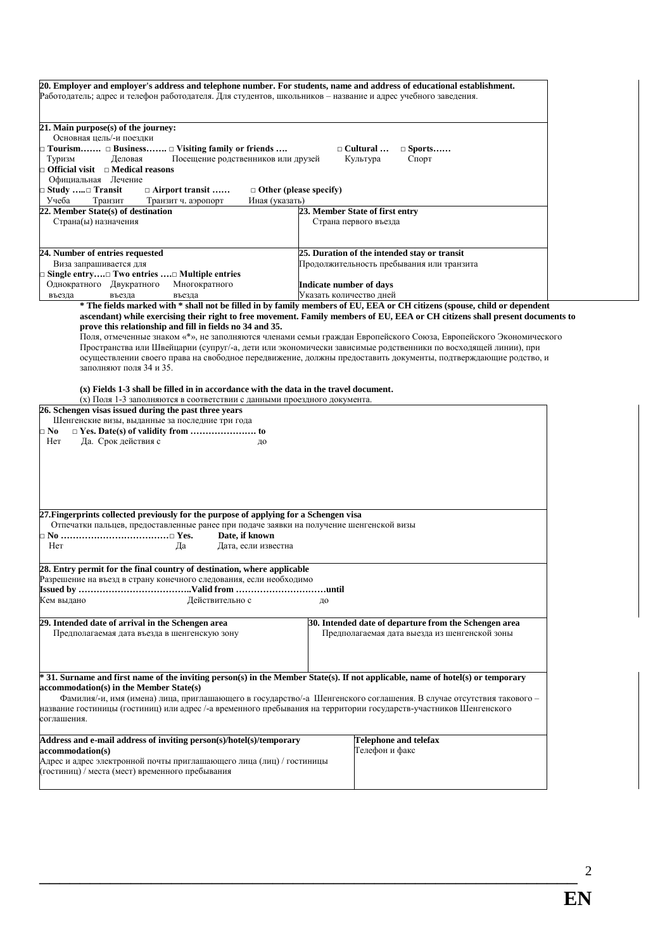| Работодатель; адрес и телефон работодателя. Для студентов, школьников – название и адрес учебного заведения.                                                                                                                                                         | 20. Employer and employer's address and telephone number. For students, name and address of educational establishment.                                                                                                                                                                                                                                                                                                                                                                                                                                                                                             |  |  |  |  |  |
|----------------------------------------------------------------------------------------------------------------------------------------------------------------------------------------------------------------------------------------------------------------------|--------------------------------------------------------------------------------------------------------------------------------------------------------------------------------------------------------------------------------------------------------------------------------------------------------------------------------------------------------------------------------------------------------------------------------------------------------------------------------------------------------------------------------------------------------------------------------------------------------------------|--|--|--|--|--|
| 21. Main purpose(s) of the journey:<br>Основная цель/-и поездки                                                                                                                                                                                                      |                                                                                                                                                                                                                                                                                                                                                                                                                                                                                                                                                                                                                    |  |  |  |  |  |
| $\Box$ Tourism $\Box$ Business $\Box$ Visiting family or friends<br>Туризм<br>Деловая<br>Посещение родственников или друзей<br>$\Box$ Official visit $\Box$ Medical reasons                                                                                          | $\Box$ Cultural<br>$\Box$ Sports<br>Культура<br>Спорт                                                                                                                                                                                                                                                                                                                                                                                                                                                                                                                                                              |  |  |  |  |  |
| Официальная Лечение<br><b>Study </b> Transit⊑<br>$\Box$ Airport transit                                                                                                                                                                                              | $\Box$ Other (please specify)                                                                                                                                                                                                                                                                                                                                                                                                                                                                                                                                                                                      |  |  |  |  |  |
| Учеба<br>Транзит<br>Транзит ч. аэропорт<br>Иная (указать)                                                                                                                                                                                                            |                                                                                                                                                                                                                                                                                                                                                                                                                                                                                                                                                                                                                    |  |  |  |  |  |
| 22. Member State(s) of destination<br>Страна(ы) назначения                                                                                                                                                                                                           | 23. Member State of first entry<br>Страна первого въезда                                                                                                                                                                                                                                                                                                                                                                                                                                                                                                                                                           |  |  |  |  |  |
| 24. Number of entries requested                                                                                                                                                                                                                                      | 25. Duration of the intended stay or transit                                                                                                                                                                                                                                                                                                                                                                                                                                                                                                                                                                       |  |  |  |  |  |
| Виза запрашивается для                                                                                                                                                                                                                                               | Продолжительность пребывания или транзита                                                                                                                                                                                                                                                                                                                                                                                                                                                                                                                                                                          |  |  |  |  |  |
| □ Single entry□ Two entries □ Multiple entries<br>Однократного Двукратного<br>Многократного                                                                                                                                                                          | Indicate number of days                                                                                                                                                                                                                                                                                                                                                                                                                                                                                                                                                                                            |  |  |  |  |  |
| въезда<br>въезда<br>въезда                                                                                                                                                                                                                                           | Указать количество дней                                                                                                                                                                                                                                                                                                                                                                                                                                                                                                                                                                                            |  |  |  |  |  |
| prove this relationship and fill in fields no 34 and 35.<br>заполняют поля 34 и 35.                                                                                                                                                                                  | * The fields marked with * shall not be filled in by family members of EU, EEA or CH citizens (spouse, child or dependent<br>ascendant) while exercising their right to free movement. Family members of EU, EEA or CH citizens shall present documents to<br>Поля, отмеченные знаком «*», не заполняются членами семьи граждан Европейского Союза, Европейского Экономического<br>Пространства или Швейцарии (супруг/-а, дети или экономически зависимые родственники по восходящей линии), при<br>осуществлении своего права на свободное передвижение, должны предоставить документы, подтверждающие родство, и |  |  |  |  |  |
| $(x)$ Fields 1-3 shall be filled in in accordance with the data in the travel document.<br>(x) Поля 1-3 заполняются в соответствии с данными проездного документа.                                                                                                   |                                                                                                                                                                                                                                                                                                                                                                                                                                                                                                                                                                                                                    |  |  |  |  |  |
| 26. Schengen visas issued during the past three years<br>Шенгенские визы, выданные за последние три года<br>$\square$ No                                                                                                                                             |                                                                                                                                                                                                                                                                                                                                                                                                                                                                                                                                                                                                                    |  |  |  |  |  |
| Her<br>Да. Срок действия с<br>до                                                                                                                                                                                                                                     |                                                                                                                                                                                                                                                                                                                                                                                                                                                                                                                                                                                                                    |  |  |  |  |  |
|                                                                                                                                                                                                                                                                      |                                                                                                                                                                                                                                                                                                                                                                                                                                                                                                                                                                                                                    |  |  |  |  |  |
| 27. Fingerprints collected previously for the purpose of applying for a Schengen visa<br>Отпечатки пальцев, предоставленные ранее при подаче заявки на получение шенгенской визы                                                                                     |                                                                                                                                                                                                                                                                                                                                                                                                                                                                                                                                                                                                                    |  |  |  |  |  |
| Date, if known<br>Her<br>Да<br>Дата, если известна                                                                                                                                                                                                                   |                                                                                                                                                                                                                                                                                                                                                                                                                                                                                                                                                                                                                    |  |  |  |  |  |
| 28. Entry permit for the final country of destination, where applicable<br>Разрешение на въезд в страну конечного следования, если необходимо                                                                                                                        |                                                                                                                                                                                                                                                                                                                                                                                                                                                                                                                                                                                                                    |  |  |  |  |  |
| Кем выдано<br>Действительно с<br>до                                                                                                                                                                                                                                  |                                                                                                                                                                                                                                                                                                                                                                                                                                                                                                                                                                                                                    |  |  |  |  |  |
| 29. Intended date of arrival in the Schengen area<br>Предполагаемая дата въезда в шенгенскую зону                                                                                                                                                                    | 30. Intended date of departure from the Schengen area<br>Предполагаемая дата выезда из шенгенской зоны                                                                                                                                                                                                                                                                                                                                                                                                                                                                                                             |  |  |  |  |  |
| * 31. Surname and first name of the inviting person(s) in the Member State(s). If not applicable, name of hotel(s) or temporary<br>accommodation(s) in the Member State(s)                                                                                           | Фамилия/-и, имя (имена) лица, приглашающего в государство/-а Шенгенского соглашения. В случае отсутствия такового -                                                                                                                                                                                                                                                                                                                                                                                                                                                                                                |  |  |  |  |  |
| название гостиницы (гостиниц) или адрес /-а временного пребывания на территории государств-участников Шенгенского<br>соглашения.                                                                                                                                     |                                                                                                                                                                                                                                                                                                                                                                                                                                                                                                                                                                                                                    |  |  |  |  |  |
| Address and e-mail address of inviting person(s)/hotel(s)/temporary<br><b>Telephone and telefax</b><br>accommodation(s)<br>Гелефон и факс<br>Адрес и адрес электронной почты приглашающего лица (лиц) / гостиницы<br>(гостиниц) / места (мест) временного пребывания |                                                                                                                                                                                                                                                                                                                                                                                                                                                                                                                                                                                                                    |  |  |  |  |  |

\_\_\_\_\_\_\_\_\_\_\_\_\_\_\_\_\_\_\_\_\_\_\_\_\_\_\_\_\_\_\_\_\_\_\_\_\_\_\_\_\_\_\_\_\_\_\_\_\_\_\_\_\_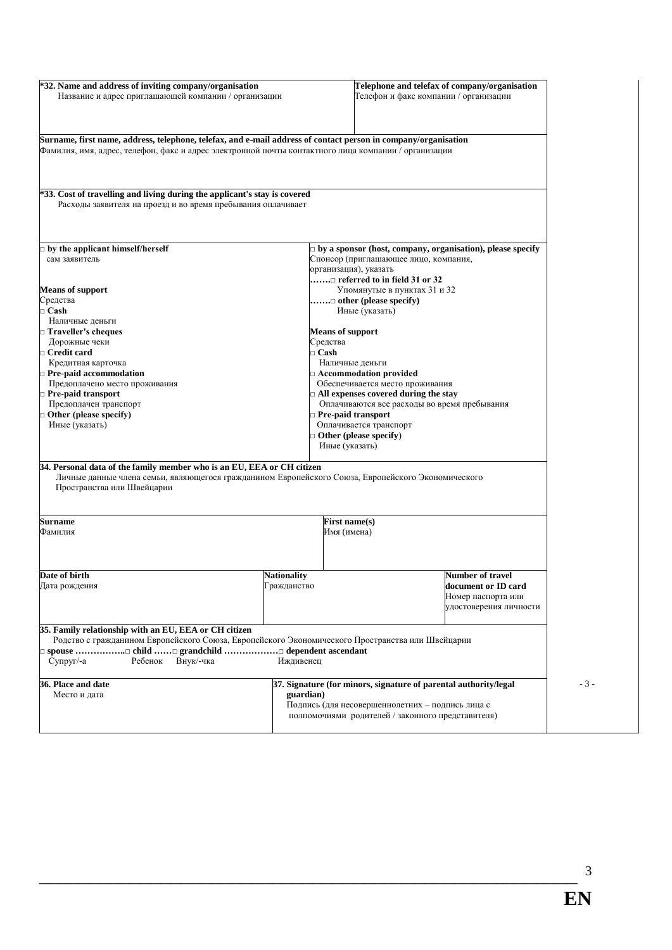| *32. Name and address of inviting company/organisation<br>Название и адрес приглашающей компании / организации                                                                                                         |                    | Telephone and telefax of company/organisation<br>Телефон и факс компании / организации |                                                                     |  |
|------------------------------------------------------------------------------------------------------------------------------------------------------------------------------------------------------------------------|--------------------|----------------------------------------------------------------------------------------|---------------------------------------------------------------------|--|
| Surname, first name, address, telephone, telefax, and e-mail address of contact person in company/organisation<br>Фамилия, имя, адрес, телефон, факс и адрес электронной почты контактного лица компании / организации |                    |                                                                                        |                                                                     |  |
| *33. Cost of travelling and living during the applicant's stay is covered                                                                                                                                              |                    |                                                                                        |                                                                     |  |
| Расходы заявителя на проезд и во время пребывания оплачивает                                                                                                                                                           |                    |                                                                                        |                                                                     |  |
| $\Box$ by the applicant himself/herself                                                                                                                                                                                |                    |                                                                                        | $\Box$ by a sponsor (host, company, organisation), please specify   |  |
| сам заявитель                                                                                                                                                                                                          |                    | Спонсор (приглашающее лицо, компания,                                                  |                                                                     |  |
|                                                                                                                                                                                                                        |                    | организация), указать                                                                  |                                                                     |  |
|                                                                                                                                                                                                                        |                    | $\ldots$ referred to in field 31 or 32                                                 |                                                                     |  |
| <b>Means of support</b>                                                                                                                                                                                                |                    | Упомянутые в пунктах 31 и 32                                                           |                                                                     |  |
| Средства                                                                                                                                                                                                               |                    | $\ldots \ldots \square$ other (please specify)                                         |                                                                     |  |
| $\Box$ Cash                                                                                                                                                                                                            |                    | Иные (указать)                                                                         |                                                                     |  |
| Наличные деньги                                                                                                                                                                                                        |                    |                                                                                        |                                                                     |  |
| □ Traveller's cheques                                                                                                                                                                                                  |                    | <b>Means of support</b>                                                                |                                                                     |  |
| Дорожные чеки                                                                                                                                                                                                          |                    | Средства                                                                               |                                                                     |  |
| $\Box$ Credit card<br>Кредитная карточка                                                                                                                                                                               |                    | $\Box$ Cash<br>Наличные деньги                                                         |                                                                     |  |
| Pre-paid accommodation                                                                                                                                                                                                 |                    | $\Box$ Accommodation provided                                                          |                                                                     |  |
| Предоплачено место проживания                                                                                                                                                                                          |                    | Обеспечивается место проживания                                                        |                                                                     |  |
| $\Box$ Pre-paid transport                                                                                                                                                                                              |                    | $\Box$ All expenses covered during the stay                                            |                                                                     |  |
| Предоплачен транспорт                                                                                                                                                                                                  |                    |                                                                                        | Оплачиваются все расходы во время пребывания                        |  |
| $\Box$ Other (please specify)                                                                                                                                                                                          |                    | Pre-paid transport                                                                     |                                                                     |  |
| Иные (указать)                                                                                                                                                                                                         |                    | Оплачивается транспорт                                                                 |                                                                     |  |
|                                                                                                                                                                                                                        |                    | $\exists$ Other (please specify)                                                       |                                                                     |  |
|                                                                                                                                                                                                                        |                    | Иные (указать)                                                                         |                                                                     |  |
| 34. Personal data of the family member who is an EU, EEA or CH citizen<br>Личные данные члена семьи, являющегося гражданином Европейского Союза, Европейского Экономического<br>Пространства или Швейцарии             |                    |                                                                                        |                                                                     |  |
| <b>Surname</b>                                                                                                                                                                                                         |                    | First name(s)                                                                          |                                                                     |  |
| Фамилия                                                                                                                                                                                                                |                    | Имя (имена)                                                                            |                                                                     |  |
|                                                                                                                                                                                                                        |                    |                                                                                        |                                                                     |  |
| Date of birth                                                                                                                                                                                                          | <b>Nationality</b> |                                                                                        | <b>Number of travel</b>                                             |  |
| Дата рождения                                                                                                                                                                                                          | Гражданство        |                                                                                        | document or ID card<br>Номер паспорта или<br>удостоверения личности |  |
| 35. Family relationship with an EU, EEA or CH citizen<br>Родство с гражданином Европейского Союза, Европейского Экономического Пространства или Швейцарии                                                              |                    |                                                                                        |                                                                     |  |
| Супруг/-а<br>Ребенок<br>Внук/-чка                                                                                                                                                                                      | Иждивенец          |                                                                                        |                                                                     |  |
| 36. Place and date                                                                                                                                                                                                     |                    |                                                                                        | 37. Signature (for minors, signature of parental authority/legal    |  |
| Место и дата                                                                                                                                                                                                           | guardian)          |                                                                                        |                                                                     |  |
|                                                                                                                                                                                                                        |                    | Подпись (для несовершеннолетних - подпись лица с                                       |                                                                     |  |
|                                                                                                                                                                                                                        |                    |                                                                                        | полномочиями родителей / законного представителя)                   |  |

\_\_\_\_\_\_\_\_\_\_\_\_\_\_\_\_\_\_\_\_\_\_\_\_\_\_\_\_\_\_\_\_\_\_\_\_\_\_\_\_\_\_\_\_\_\_\_\_\_\_\_\_\_